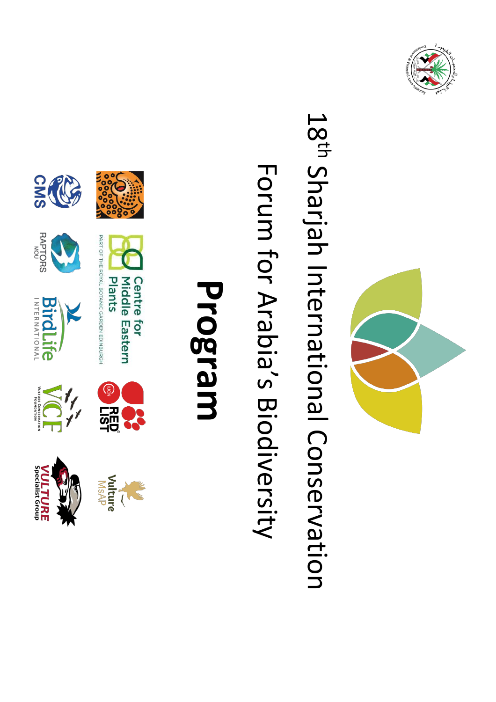



## 18<sup>th</sup> Sharjah International Conservation Sharjah International Conservation

## Forum for Arabia's Biodiversity for Arabia's Biodiversity

## **Program**





**RAPTORS** 

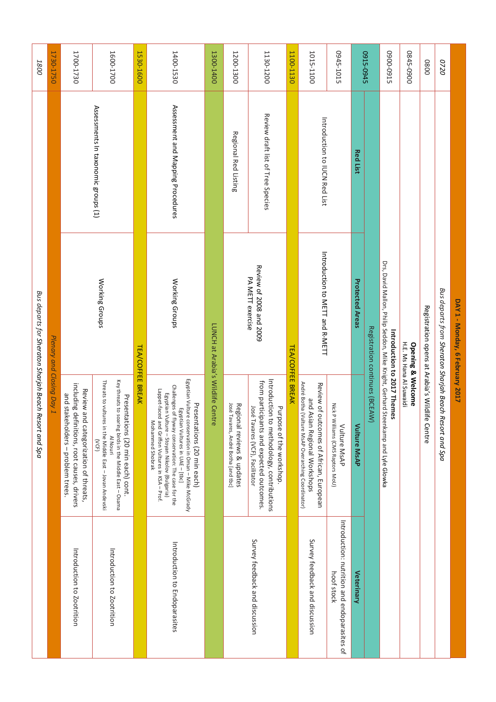| 1800                                                  | 1730-1750                 | 1700-1730                                                                                                                 | 1600-1700                                                                                                                                                                    | 1530-1600               | 1400-1530                                                                                                                                                                                                                                                                                              | 1300-1400                         | 1200-1300                                                         | 1130-1200                                                                                                                                                   | 1100-1130               | 1015-1100                                                                                                                     | 0945-1015                                                  |                        | 0915-0945                      | 5160-0060                                                                                                       | 0845-0900                                               | 0800                                           | 0720                                                   |                                 |
|-------------------------------------------------------|---------------------------|---------------------------------------------------------------------------------------------------------------------------|------------------------------------------------------------------------------------------------------------------------------------------------------------------------------|-------------------------|--------------------------------------------------------------------------------------------------------------------------------------------------------------------------------------------------------------------------------------------------------------------------------------------------------|-----------------------------------|-------------------------------------------------------------------|-------------------------------------------------------------------------------------------------------------------------------------------------------------|-------------------------|-------------------------------------------------------------------------------------------------------------------------------|------------------------------------------------------------|------------------------|--------------------------------|-----------------------------------------------------------------------------------------------------------------|---------------------------------------------------------|------------------------------------------------|--------------------------------------------------------|---------------------------------|
|                                                       |                           |                                                                                                                           | Assessments In taxonomic groups (1)                                                                                                                                          |                         | Assessment and Mapping Procedures                                                                                                                                                                                                                                                                      |                                   | <b>Regional Red Listing</b>                                       | Review draft list of Tree Species                                                                                                                           |                         | Introduction to IUCN Red List                                                                                                 |                                                            | <b>Red List</b>        |                                |                                                                                                                 |                                                         |                                                |                                                        |                                 |
|                                                       |                           |                                                                                                                           | Working Groups                                                                                                                                                               |                         | Working Groups                                                                                                                                                                                                                                                                                         |                                   |                                                                   | Review of 2008 and 2009<br>PA METT exercise                                                                                                                 |                         | Introduction to METT and R-METT                                                                                               |                                                            | <b>Protected Areas</b> |                                |                                                                                                                 |                                                         |                                                |                                                        | DAY 1 - Monday, 6 February 2017 |
| Bus departs for Sheraton Sharjah Beach Resort and Spa | Plenary and Closing Day 1 | including definitions, root causes, drivers<br>Review and categorization of threats,<br>and stakeholders - problem trees. | Threats to vultures in the Middle East - Jovan Andevski<br>Key threats to soaring birds in the Middle East - Osama<br>Presentations (20 min each) cont.<br>Al Nouri<br>(VCF) | <b>TEA/COFFEE BREAK</b> | Egyptian Vulture conservation in Oman - Mike McGrady<br>Challenges of flyway conservation: The case for the<br>Lappet-faced and Griffon Vultures in KSA - Prof.<br>Egyptian Vulture - Stoyan Nikolov (Bulgaria)<br>Presentations (20 min each)<br>Egyptian Vultures in UAE - [tbc]<br>Mohammed Shobrak | LUNCH at Arabia's Wildlife Centre | José Tavares, André Botha [and tbc]<br>Regional reviews & updates | Introduction<br>from participants and expected outcomes.<br>José<br>Purpose of the workshop.<br>Tavares (VCF), Facilitator<br>to methodology, contributions | <b>TEA/COFFEE BREAK</b> | André Botha (Vulture MsAP Overarching Coordinator)<br>Review of outcomes of African, European<br>and Asian Regional Workshops | <b>NickP</b><br>Williams (CMS Raptors MoU)<br>Vulture MsAP | Vulture MsAP           | Registration continues (BCEAW) | Drs, David Mallon, Philip Seddon, Mike Kright, Gerhard Steenkamp and Lyle Glowka<br>Introduction to 2017 Themes | H.E. Ms Hana Al Suwaidi<br><b>Opening &amp; Welcome</b> | Registration opens at Arabia's Wildlife Centre | Bus departs from Sheraton Sharjah Beach Resort and Spa |                                 |
|                                                       |                           | Introduction to Zootrition                                                                                                | Introduction to Zootrition                                                                                                                                                   |                         | Introduction to Endoparasites                                                                                                                                                                                                                                                                          |                                   |                                                                   | Survey feedback and discussion                                                                                                                              |                         | Survey feedback and discussion                                                                                                | Introduction: nutrition and endoparasites of<br>hoof stock | Veterinary             |                                |                                                                                                                 |                                                         |                                                |                                                        |                                 |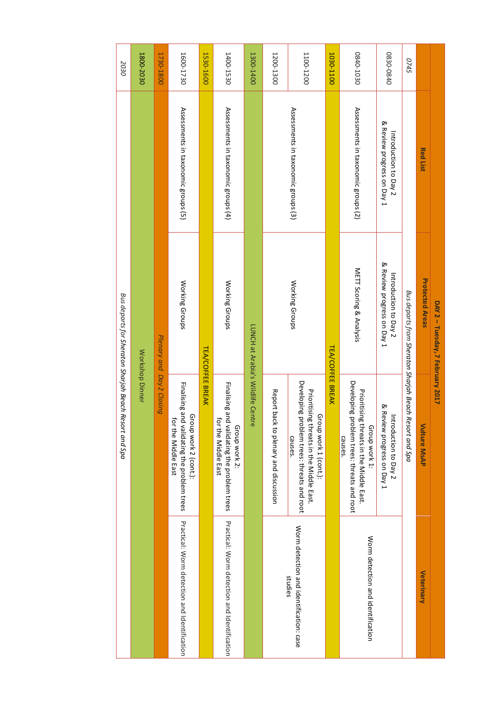|                                                    | Resort and Spa                                                                                                               | Bus departs for Sheraton Sharjah Beach              |                                                     | 2030      |
|----------------------------------------------------|------------------------------------------------------------------------------------------------------------------------------|-----------------------------------------------------|-----------------------------------------------------|-----------|
|                                                    | <b>Workshop Dinner</b>                                                                                                       |                                                     |                                                     | 1800-2030 |
|                                                    | Plenary and Day 2 Closing                                                                                                    |                                                     |                                                     | 1730-1800 |
| Practical: Sorra detection and Leptrication        | Finalising and validating the problem trees<br>Group work 2 (cont.):<br>for the Middle East                                  | Working Groups                                      | Assessments in taxonomic groups (5)                 | 1600-1730 |
|                                                    | <b>TEA/COFFEE BREAK</b>                                                                                                      |                                                     |                                                     | 1530-1600 |
| Practical: Worm detection and Identification       | Finalising and validating the problem trees<br>for the Middle East<br>Group work 2:                                          | Working Groups                                      | Assessments in taxonomic groups (4)                 | 1400-1530 |
|                                                    | ntre                                                                                                                         | LUNCH at Arabia's Wildlife Ce                       |                                                     | 1300-1400 |
|                                                    | Report back to plenary and discussion                                                                                        |                                                     |                                                     | 1200-1300 |
| Worm detection and identification: case<br>studies | Developing<br>Prioritising threats in the Middle East.<br>Group work 1 (cont.):<br>problem trees: threats and root<br>causes | Working Groups                                      | Assessments in taxonomic groups (3)                 | 1100-1200 |
|                                                    | <b>TEA/COFFEE BREAK</b>                                                                                                      |                                                     |                                                     | 1030-1100 |
| Norm detection and identification                  | Developing problem trees: threats and root<br>Prioritising threats in the Middle East.<br>Group work 1:<br>causes.           | METT Scoring & Analysis                             | Assessments in taxonomic groups (2)                 | 0840-1030 |
|                                                    | & Review progress on Day 1<br>Introduction to Day 2                                                                          | & Review progress on Day 1<br>Introduction to Day 2 | & Review progress on Day 1<br>Introduction to Day 2 | 0830-0840 |
|                                                    | Resort and Spa                                                                                                               | Bus departs from Sheraton Sharjah Beach             |                                                     | 0745      |
| Veterinary                                         | <b>Vulture MsAP</b>                                                                                                          | <b>Protected Areas</b>                              | <b>Red List</b>                                     |           |
|                                                    |                                                                                                                              | DAY 2 - Tuesday, 7 February 2017                    |                                                     |           |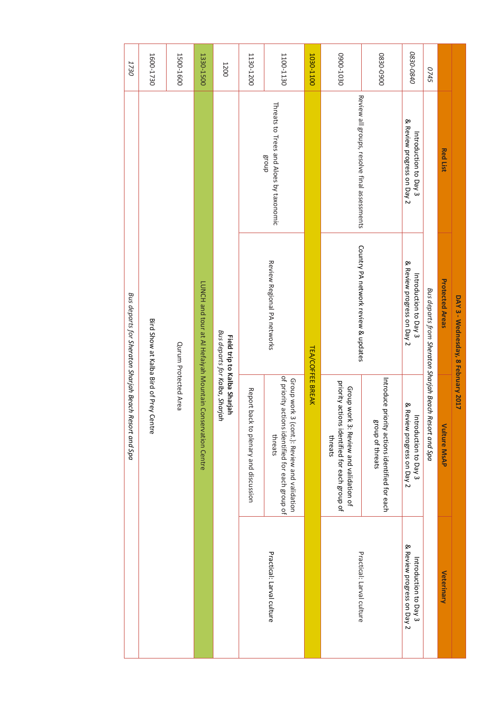| 1730                                   | 1600-1730                              | 1500-1600            | 1330-1500                                                  | 1200                                                          | 1130-1200                             | 1100-1130                                                                                                  | 1030-1100               | 0200-1030                                                                                          | 0830-0900                                                          | 0830-0840                                           | <b>0745</b>                             |                        |                                    |
|----------------------------------------|----------------------------------------|----------------------|------------------------------------------------------------|---------------------------------------------------------------|---------------------------------------|------------------------------------------------------------------------------------------------------------|-------------------------|----------------------------------------------------------------------------------------------------|--------------------------------------------------------------------|-----------------------------------------------------|-----------------------------------------|------------------------|------------------------------------|
|                                        |                                        |                      |                                                            |                                                               |                                       | Threats to Trees and Aloes by taxonomic<br>dnou <sub>8</sub>                                               |                         | Review all groups, resolve final assessments                                                       |                                                                    | & Review progress on Day 2<br>Introduction to Day 3 |                                         | <b>Red List</b>        |                                    |
| Bus departs for Sheraton Sharjah Beach |                                        |                      |                                                            |                                                               |                                       | Review Regional PA networks                                                                                |                         | Country PA network review & updates                                                                |                                                                    | & Review progress on Day 2<br>Introduction to Day 3 | Bus departs from Sheraton Sharjah Beach | <b>Protected Areas</b> | DAY 3 - Wednesday, 8 February 2017 |
| Resort and Spa                         | Bird Show at Kalba Bird of Prey Centre | Qurum Protected Area | LUNCH and tour at Al Hefaiyah Mountain Conservation Centre | Bus departs for Kalba, Sharjah<br>Field trip to Kalba Sharjah | Report back to plenary and discussion | of priority actions identified for each group of<br>Group work 3 (cont.): Review and validation<br>threats | <b>TEA/COFFEE BREAK</b> | priority actions identified for each group of<br>Group work 3: Review and validation of<br>threats | Introduce priority actions identified for each<br>group of threats | & Review progress on Day 2<br>Introduction to Day 3 | Resort and Spa                          | Vulture MsAP           |                                    |
|                                        |                                        |                      |                                                            |                                                               |                                       | Practical: Larval culture                                                                                  |                         | Practical: Larval culture                                                                          |                                                                    | & Review progress on Day 2<br>Introduction to Day 3 |                                         | Veterinary             |                                    |